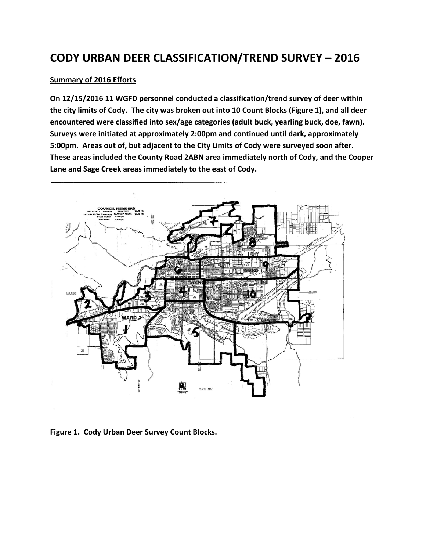# **CODY URBAN DEER CLASSIFICATION/TREND SURVEY – 2016**

### **Summary of 2016 Efforts**

**On 12/15/2016 11 WGFD personnel conducted a classification/trend survey of deer within the city limits of Cody. The city was broken out into 10 Count Blocks (Figure 1), and all deer encountered were classified into sex/age categories (adult buck, yearling buck, doe, fawn). Surveys were initiated at approximately 2:00pm and continued until dark, approximately 5:00pm. Areas out of, but adjacent to the City Limits of Cody were surveyed soon after. These areas included the County Road 2ABN area immediately north of Cody, and the Cooper Lane and Sage Creek areas immediately to the east of Cody.** 



**Figure 1. Cody Urban Deer Survey Count Blocks.**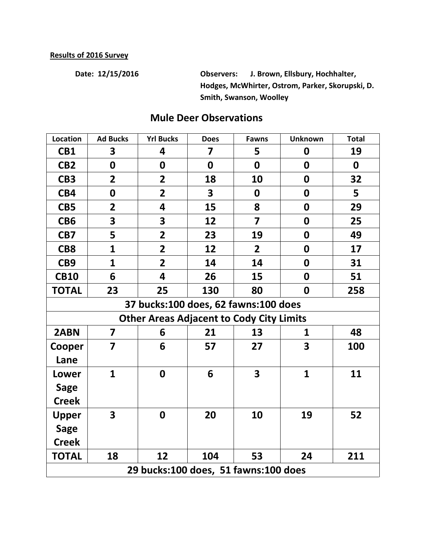**Date: 12/15/2016 Observers: J. Brown, Ellsbury, Hochhalter, Hodges, McWhirter, Ostrom, Parker, Skorupski, D. Smith, Swanson, Woolley**

| Location                                        | <b>Ad Bucks</b>         | <b>Yrl Bucks</b> | <b>Does</b>             | <b>Fawns</b>            | <b>Unknown</b>   | <b>Total</b> |  |  |
|-------------------------------------------------|-------------------------|------------------|-------------------------|-------------------------|------------------|--------------|--|--|
| CB1                                             | 3                       | 4                | 7                       | 5                       | $\boldsymbol{0}$ | 19           |  |  |
| CB <sub>2</sub>                                 | $\boldsymbol{0}$        | 0                | $\mathbf 0$             | $\mathbf 0$             | $\boldsymbol{0}$ | $\mathbf 0$  |  |  |
| CB <sub>3</sub>                                 | $\overline{2}$          | $\overline{2}$   | 18                      | 10                      | $\boldsymbol{0}$ | 32           |  |  |
| CB4                                             | $\boldsymbol{0}$        | $\overline{2}$   | $\overline{\mathbf{3}}$ | 0                       | $\boldsymbol{0}$ | 5            |  |  |
| CB5                                             | $\overline{2}$          | 4                | 15                      | 8                       | $\boldsymbol{0}$ | 29           |  |  |
| CB <sub>6</sub>                                 | $\overline{\mathbf{3}}$ | 3                | 12                      | $\overline{7}$          | $\boldsymbol{0}$ | 25           |  |  |
| CB7                                             | 5                       | $\overline{2}$   | 23                      | 19                      | $\boldsymbol{0}$ | 49           |  |  |
| CB <sub>8</sub>                                 | $\overline{\mathbf{1}}$ | $\overline{2}$   | 12                      | $\overline{2}$          | $\boldsymbol{0}$ | 17           |  |  |
| CB <sub>9</sub>                                 | $\mathbf{1}$            | $\overline{2}$   | 14                      | 14                      | $\boldsymbol{0}$ | 31           |  |  |
| <b>CB10</b>                                     | 6                       | 4                | 26                      | 15                      | $\mathbf 0$      | 51           |  |  |
| <b>TOTAL</b>                                    | 23                      | 25               | 130                     | 80                      | $\mathbf 0$      | 258          |  |  |
| 37 bucks:100 does, 62 fawns:100 does            |                         |                  |                         |                         |                  |              |  |  |
| <b>Other Areas Adjacent to Cody City Limits</b> |                         |                  |                         |                         |                  |              |  |  |
| 2ABN                                            | 7                       | 6                | 21                      | 13                      | 1                | 48           |  |  |
| Cooper                                          | $\overline{\mathbf{z}}$ | 6                | 57                      | 27                      | 3                | 100          |  |  |
| Lane                                            |                         |                  |                         |                         |                  |              |  |  |
| Lower                                           | $\mathbf{1}$            | $\boldsymbol{0}$ | 6                       | $\overline{\mathbf{3}}$ | $\mathbf{1}$     | 11           |  |  |
| <b>Sage</b>                                     |                         |                  |                         |                         |                  |              |  |  |
| <b>Creek</b>                                    |                         |                  |                         |                         |                  |              |  |  |
| <b>Upper</b>                                    | $\overline{\mathbf{3}}$ | 0                | 20                      | 10                      | 19               | 52           |  |  |
| <b>Sage</b>                                     |                         |                  |                         |                         |                  |              |  |  |
| <b>Creek</b>                                    |                         |                  |                         |                         |                  |              |  |  |
| <b>TOTAL</b>                                    | 18                      | 12               | 104                     | 53                      | 24               | 211          |  |  |
| 29 bucks:100 does, 51 fawns:100 does            |                         |                  |                         |                         |                  |              |  |  |

## **Mule Deer Observations**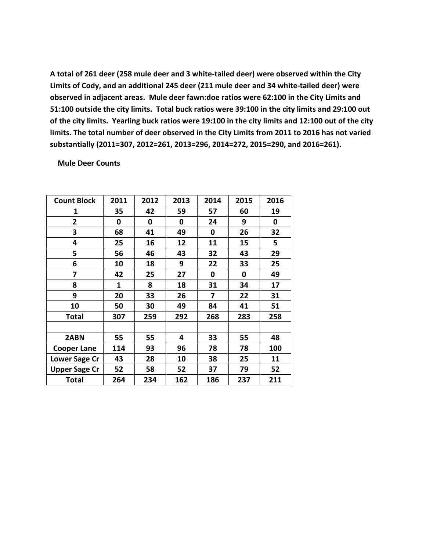**A total of 261 deer (258 mule deer and 3 white-tailed deer) were observed within the City Limits of Cody, and an additional 245 deer (211 mule deer and 34 white-tailed deer) were observed in adjacent areas. Mule deer fawn:doe ratios were 62:100 in the City Limits and 51:100 outside the city limits. Total buck ratios were 39:100 in the city limits and 29:100 out of the city limits. Yearling buck ratios were 19:100 in the city limits and 12:100 out of the city limits. The total number of deer observed in the City Limits from 2011 to 2016 has not varied substantially (2011=307, 2012=261, 2013=296, 2014=272, 2015=290, and 2016=261).**

#### **Mule Deer Counts**

| <b>Count Block</b>   | 2011 | 2012 | 2013 | 2014 | 2015 | 2016 |
|----------------------|------|------|------|------|------|------|
| 1                    | 35   | 42   | 59   | 57   | 60   | 19   |
| $\overline{2}$       | 0    | 0    | 0    | 24   | 9    | 0    |
| 3                    | 68   | 41   | 49   | 0    | 26   | 32   |
| 4                    | 25   | 16   | 12   | 11   | 15   | 5    |
| 5                    | 56   | 46   | 43   | 32   | 43   | 29   |
| 6                    | 10   | 18   | 9    | 22   | 33   | 25   |
| 7                    | 42   | 25   | 27   | 0    | 0    | 49   |
| 8                    | 1    | 8    | 18   | 31   | 34   | 17   |
| 9                    | 20   | 33   | 26   | 7    | 22   | 31   |
| 10                   | 50   | 30   | 49   | 84   | 41   | 51   |
| <b>Total</b>         | 307  | 259  | 292  | 268  | 283  | 258  |
|                      |      |      |      |      |      |      |
| 2ABN                 | 55   | 55   | 4    | 33   | 55   | 48   |
| <b>Cooper Lane</b>   | 114  | 93   | 96   | 78   | 78   | 100  |
| Lower Sage Cr        | 43   | 28   | 10   | 38   | 25   | 11   |
| <b>Upper Sage Cr</b> | 52   | 58   | 52   | 37   | 79   | 52   |
| <b>Total</b>         | 264  | 234  | 162  | 186  | 237  | 211  |